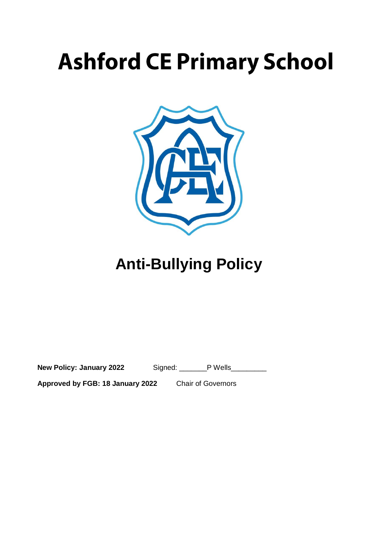# **Ashford CE Primary School**



## **Anti-Bullying Policy**

**New Policy: January 2022** Signed: \_\_\_\_\_\_\_P Wells\_\_\_\_\_\_\_\_\_

**Approved by FGB: 18 January 2022** Chair of Governors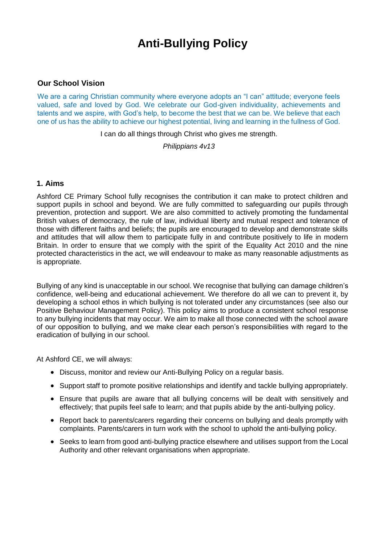### **Anti-Bullying Policy**

#### **Our School Vision**

We are a caring Christian community where everyone adopts an "I can" attitude; everyone feels valued, safe and loved by God. We celebrate our God-given individuality, achievements and talents and we aspire, with God's help, to become the best that we can be. We believe that each one of us has the ability to achieve our highest potential, living and learning in the fullness of God.

I can do all things through Christ who gives me strength.

*Philippians 4v13*

#### **1. Aims**

Ashford CE Primary School fully recognises the contribution it can make to protect children and support pupils in school and beyond. We are fully committed to safeguarding our pupils through prevention, protection and support. We are also committed to actively promoting the fundamental British values of democracy, the rule of law, individual liberty and mutual respect and tolerance of those with different faiths and beliefs; the pupils are encouraged to develop and demonstrate skills and attitudes that will allow them to participate fully in and contribute positively to life in modern Britain. In order to ensure that we comply with the spirit of the Equality Act 2010 and the nine protected characteristics in the act, we will endeavour to make as many reasonable adjustments as is appropriate.

Bullying of any kind is unacceptable in our school. We recognise that bullying can damage children's confidence, well-being and educational achievement. We therefore do all we can to prevent it, by developing a school ethos in which bullying is not tolerated under any circumstances (see also our Positive Behaviour Management Policy). This policy aims to produce a consistent school response to any bullying incidents that may occur. We aim to make all those connected with the school aware of our opposition to bullying, and we make clear each person's responsibilities with regard to the eradication of bullying in our school.

At Ashford CE, we will always:

- Discuss, monitor and review our Anti-Bullying Policy on a regular basis.
- Support staff to promote positive relationships and identify and tackle bullying appropriately.
- Ensure that pupils are aware that all bullying concerns will be dealt with sensitively and effectively; that pupils feel safe to learn; and that pupils abide by the anti-bullying policy.
- Report back to parents/carers regarding their concerns on bullying and deals promptly with complaints. Parents/carers in turn work with the school to uphold the anti-bullying policy.
- Seeks to learn from good anti-bullying practice elsewhere and utilises support from the Local Authority and other relevant organisations when appropriate.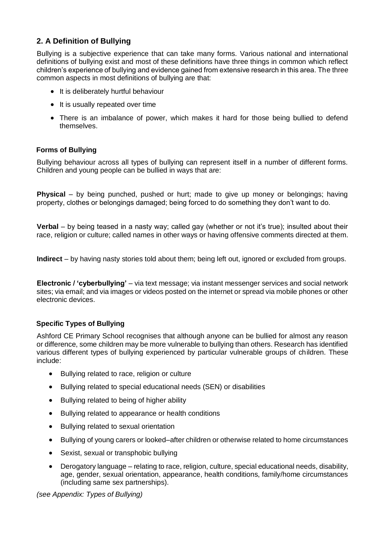#### **2. A Definition of Bullying**

Bullying is a subjective experience that can take many forms. Various national and international definitions of bullying exist and most of these definitions have three things in common which reflect children's experience of bullying and evidence gained from extensive research in this area. The three common aspects in most definitions of bullying are that:

- It is deliberately hurtful behaviour
- It is usually repeated over time
- There is an imbalance of power, which makes it hard for those being bullied to defend themselves.

#### **Forms of Bullying**

Bullying behaviour across all types of bullying can represent itself in a number of different forms. Children and young people can be bullied in ways that are:

**Physical** – by being punched, pushed or hurt; made to give up money or belongings; having property, clothes or belongings damaged; being forced to do something they don't want to do.

**Verbal** – by being teased in a nasty way; called gay (whether or not it's true); insulted about their race, religion or culture; called names in other ways or having offensive comments directed at them.

**Indirect** – by having nasty stories told about them; being left out, ignored or excluded from groups.

**Electronic / 'cyberbullying'** – via text message; via instant messenger services and social network sites; via email; and via images or videos posted on the internet or spread via mobile phones or other electronic devices.

#### **Specific Types of Bullying**

Ashford CE Primary School recognises that although anyone can be bullied for almost any reason or difference, some children may be more vulnerable to bullying than others. Research has identified various different types of bullying experienced by particular vulnerable groups of children. These include:

- Bullying related to race, religion or culture
- Bullying related to special educational needs (SEN) or disabilities
- Bullying related to being of higher ability
- Bullying related to appearance or health conditions
- Bullying related to sexual orientation
- Bullying of young carers or looked–after children or otherwise related to home circumstances
- Sexist, sexual or transphobic bullying
- Derogatory language relating to race, religion, culture, special educational needs, disability, age, gender, sexual orientation, appearance, health conditions, family/home circumstances (including same sex partnerships).

*(see Appendix: Types of Bullying)*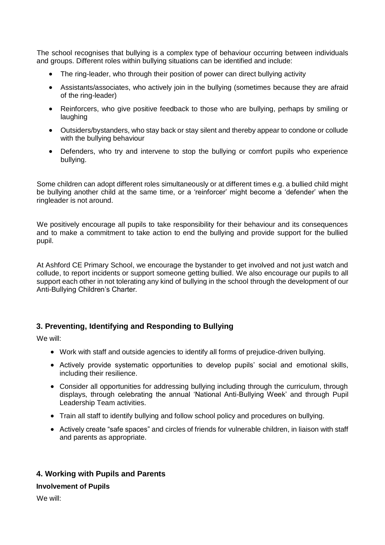The school recognises that bullying is a complex type of behaviour occurring between individuals and groups. Different roles within bullying situations can be identified and include:

- The ring-leader, who through their position of power can direct bullying activity
- Assistants/associates, who actively join in the bullying (sometimes because they are afraid of the ring-leader)
- Reinforcers, who give positive feedback to those who are bullying, perhaps by smiling or laughing
- Outsiders/bystanders, who stay back or stay silent and thereby appear to condone or collude with the bullying behaviour
- Defenders, who try and intervene to stop the bullying or comfort pupils who experience bullying.

Some children can adopt different roles simultaneously or at different times e.g. a bullied child might be bullying another child at the same time, or a 'reinforcer' might become a 'defender' when the ringleader is not around.

We positively encourage all pupils to take responsibility for their behaviour and its consequences and to make a commitment to take action to end the bullying and provide support for the bullied pupil.

At Ashford CE Primary School, we encourage the bystander to get involved and not just watch and collude, to report incidents or support someone getting bullied. We also encourage our pupils to all support each other in not tolerating any kind of bullying in the school through the development of our Anti-Bullying Children's Charter*.*

#### **3. Preventing, Identifying and Responding to Bullying**

We will:

- Work with staff and outside agencies to identify all forms of prejudice-driven bullying.
- Actively provide systematic opportunities to develop pupils' social and emotional skills, including their resilience.
- Consider all opportunities for addressing bullying including through the curriculum, through displays, through celebrating the annual 'National Anti-Bullying Week' and through Pupil Leadership Team activities.
- Train all staff to identify bullying and follow school policy and procedures on bullying.
- Actively create "safe spaces" and circles of friends for vulnerable children, in liaison with staff and parents as appropriate.

#### **4. Working with Pupils and Parents**

#### **Involvement of Pupils**

We will: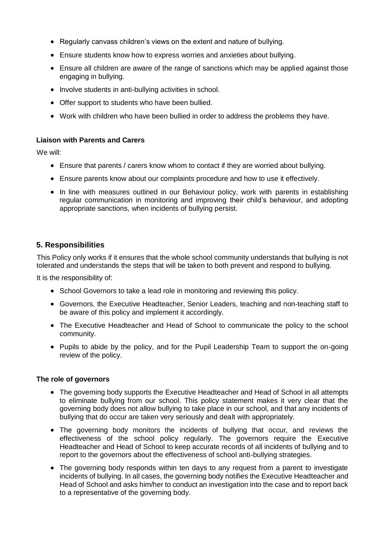- Regularly canvass children's views on the extent and nature of bullying.
- Ensure students know how to express worries and anxieties about bullying.
- Ensure all children are aware of the range of sanctions which may be applied against those engaging in bullying.
- Involve students in anti-bullying activities in school.
- Offer support to students who have been bullied.
- Work with children who have been bullied in order to address the problems they have.

#### **Liaison with Parents and Carers**

We will:

- Ensure that parents / carers know whom to contact if they are worried about bullying.
- Ensure parents know about our complaints procedure and how to use it effectively.
- In line with measures outlined in our Behaviour policy, work with parents in establishing regular communication in monitoring and improving their child's behaviour, and adopting appropriate sanctions, when incidents of bullying persist.

#### **5. Responsibilities**

This Policy only works if it ensures that the whole school community understands that bullying is not tolerated and understands the steps that will be taken to both prevent and respond to bullying.

It is the responsibility of:

- School Governors to take a lead role in monitoring and reviewing this policy.
- Governors, the Executive Headteacher, Senior Leaders, teaching and non-teaching staff to be aware of this policy and implement it accordingly.
- The Executive Headteacher and Head of School to communicate the policy to the school community.
- Pupils to abide by the policy, and for the Pupil Leadership Team to support the on-going review of the policy.

#### **The role of governors**

- The governing body supports the Executive Headteacher and Head of School in all attempts to eliminate bullying from our school. This policy statement makes it very clear that the governing body does not allow bullying to take place in our school, and that any incidents of bullying that do occur are taken very seriously and dealt with appropriately.
- The governing body monitors the incidents of bullying that occur, and reviews the effectiveness of the school policy regularly. The governors require the Executive Headteacher and Head of School to keep accurate records of all incidents of bullying and to report to the governors about the effectiveness of school anti-bullying strategies.
- The governing body responds within ten days to any request from a parent to investigate incidents of bullying. In all cases, the governing body notifies the Executive Headteacher and Head of School and asks him/her to conduct an investigation into the case and to report back to a representative of the governing body.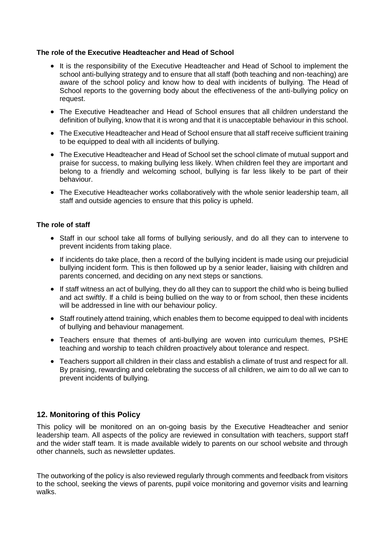#### **The role of the Executive Headteacher and Head of School**

- It is the responsibility of the Executive Headteacher and Head of School to implement the school anti-bullying strategy and to ensure that all staff (both teaching and non-teaching) are aware of the school policy and know how to deal with incidents of bullying. The Head of School reports to the governing body about the effectiveness of the anti-bullying policy on request.
- The Executive Headteacher and Head of School ensures that all children understand the definition of bullying, know that it is wrong and that it is unacceptable behaviour in this school.
- The Executive Headteacher and Head of School ensure that all staff receive sufficient training to be equipped to deal with all incidents of bullying.
- The Executive Headteacher and Head of School set the school climate of mutual support and praise for success, to making bullying less likely. When children feel they are important and belong to a friendly and welcoming school, bullying is far less likely to be part of their behaviour.
- The Executive Headteacher works collaboratively with the whole senior leadership team, all staff and outside agencies to ensure that this policy is upheld.

#### **The role of staff**

- Staff in our school take all forms of bullying seriously, and do all they can to intervene to prevent incidents from taking place.
- If incidents do take place, then a record of the bullying incident is made using our prejudicial bullying incident form*.* This is then followed up by a senior leader, liaising with children and parents concerned, and deciding on any next steps or sanctions.
- If staff witness an act of bullying, they do all they can to support the child who is being bullied and act swiftly. If a child is being bullied on the way to or from school, then these incidents will be addressed in line with our behaviour policy.
- Staff routinely attend training, which enables them to become equipped to deal with incidents of bullying and behaviour management.
- Teachers ensure that themes of anti-bullying are woven into curriculum themes, PSHE teaching and worship to teach children proactively about tolerance and respect.
- Teachers support all children in their class and establish a climate of trust and respect for all. By praising, rewarding and celebrating the success of all children, we aim to do all we can to prevent incidents of bullying.

#### **12. Monitoring of this Policy**

This policy will be monitored on an on-going basis by the Executive Headteacher and senior leadership team. All aspects of the policy are reviewed in consultation with teachers, support staff and the wider staff team. It is made available widely to parents on our school website and through other channels, such as newsletter updates.

The outworking of the policy is also reviewed regularly through comments and feedback from visitors to the school, seeking the views of parents, pupil voice monitoring and governor visits and learning walks.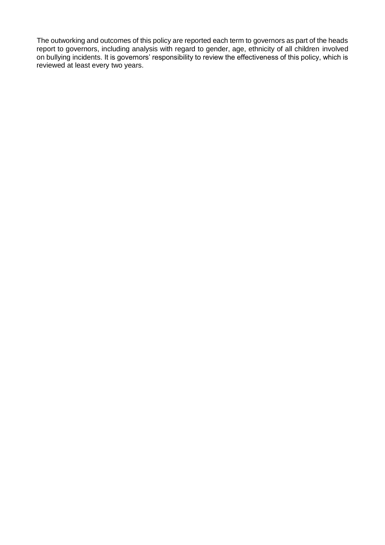The outworking and outcomes of this policy are reported each term to governors as part of the heads report to governors, including analysis with regard to gender, age, ethnicity of all children involved on bullying incidents. It is governors' responsibility to review the effectiveness of this policy, which is reviewed at least every two years.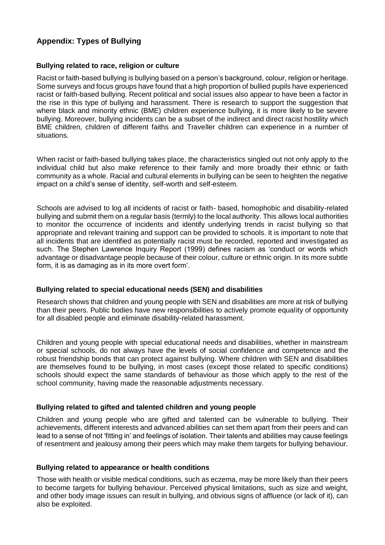#### **Appendix: Types of Bullying**

#### **Bullying related to race, religion or culture**

Racist or faith-based bullying is bullying based on a person's background, colour, religion or heritage. Some surveys and focus groups have found that a high proportion of bullied pupils have experienced racist or faith-based bullying. Recent political and social issues also appear to have been a factor in the rise in this type of bullying and harassment. There is research to support the suggestion that where black and minority ethnic (BME) children experience bullying, it is more likely to be severe bullying. Moreover, bullying incidents can be a subset of the indirect and direct racist hostility which BME children, children of different faiths and Traveller children can experience in a number of situations.

When racist or faith-based bullying takes place, the characteristics singled out not only apply to the individual child but also make reference to their family and more broadly their ethnic or faith community as a whole. Racial and cultural elements in bullying can be seen to heighten the negative impact on a child's sense of identity, self-worth and self-esteem.

Schools are advised to log all incidents of racist or faith- based, homophobic and disability-related bullying and submit them on a regular basis (termly) to the local authority. This allows local authorities to monitor the occurrence of incidents and identify underlying trends in racist bullying so that appropriate and relevant training and support can be provided to schools. It is important to note that all incidents that are identified as potentially racist must be recorded, reported and investigated as such. The Stephen Lawrence Inquiry Report (1999) defines racism as 'conduct or words which advantage or disadvantage people because of their colour, culture or ethnic origin. In its more subtle form, it is as damaging as in its more overt form'.

#### **Bullying related to special educational needs (SEN) and disabilities**

Research shows that children and young people with SEN and disabilities are more at risk of bullying than their peers. Public bodies have new responsibilities to actively promote equality of opportunity for all disabled people and eliminate disability-related harassment.

Children and young people with special educational needs and disabilities, whether in mainstream or special schools, do not always have the levels of social confidence and competence and the robust friendship bonds that can protect against bullying. Where children with SEN and disabilities are themselves found to be bullying, in most cases (except those related to specific conditions) schools should expect the same standards of behaviour as those which apply to the rest of the school community, having made the reasonable adjustments necessary.

#### **Bullying related to gifted and talented children and young people**

Children and young people who are gifted and talented can be vulnerable to bullying. Their achievements, different interests and advanced abilities can set them apart from their peers and can lead to a sense of not 'fitting in' and feelings of isolation. Their talents and abilities may cause feelings of resentment and jealousy among their peers which may make them targets for bullying behaviour.

#### **Bullying related to appearance or health conditions**

Those with health or visible medical conditions, such as eczema, may be more likely than their peers to become targets for bullying behaviour. Perceived physical limitations, such as size and weight, and other body image issues can result in bullying, and obvious signs of affluence (or lack of it), can also be exploited.